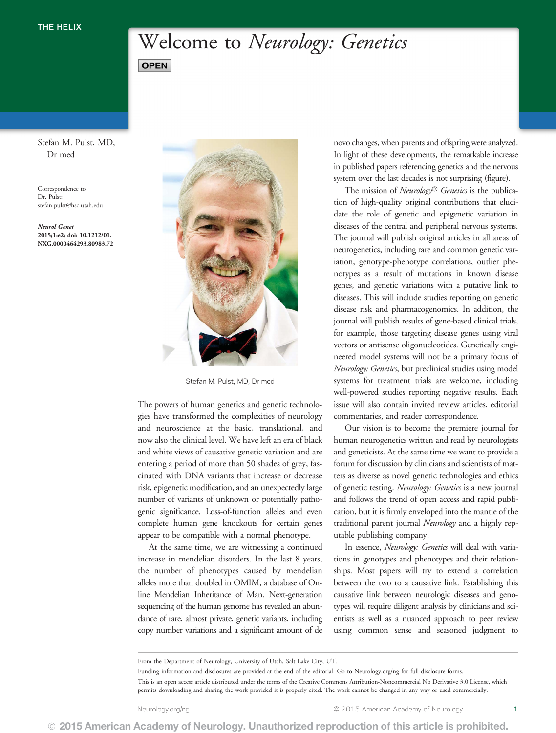## Welcome to Neurology: Genetics

**OPEN** 

Stefan M. Pulst, MD, Dr med

Correspondence to Dr. Pulst: [stefan.pulst@hsc.utah.edu](mailto:stefan.pulst@hsc.utah.edu)

Neurol Genet 2015;1:e2; doi: 10.1212/01. NXG.0000464293.80983.72



Stefan M. Pulst, MD, Dr med

The powers of human genetics and genetic technologies have transformed the complexities of neurology and neuroscience at the basic, translational, and now also the clinical level. We have left an era of black and white views of causative genetic variation and are entering a period of more than 50 shades of grey, fascinated with DNA variants that increase or decrease risk, epigenetic modification, and an unexpectedly large number of variants of unknown or potentially pathogenic significance. Loss-of-function alleles and even complete human gene knockouts for certain genes appear to be compatible with a normal phenotype.

At the same time, we are witnessing a continued increase in mendelian disorders. In the last 8 years, the number of phenotypes caused by mendelian alleles more than doubled in OMIM, a database of Online Mendelian Inheritance of Man. Next-generation sequencing of the human genome has revealed an abundance of rare, almost private, genetic variants, including copy number variations and a significant amount of de

novo changes, when parents and offspring were analyzed. In light of these developments, the remarkable increase in published papers referencing genetics and the nervous system over the last decades is not surprising (figure).

The mission of Neurology® Genetics is the publication of high-quality original contributions that elucidate the role of genetic and epigenetic variation in diseases of the central and peripheral nervous systems. The journal will publish original articles in all areas of neurogenetics, including rare and common genetic variation, genotype-phenotype correlations, outlier phenotypes as a result of mutations in known disease genes, and genetic variations with a putative link to diseases. This will include studies reporting on genetic disease risk and pharmacogenomics. In addition, the journal will publish results of gene-based clinical trials, for example, those targeting disease genes using viral vectors or antisense oligonucleotides. Genetically engineered model systems will not be a primary focus of Neurology: Genetics, but preclinical studies using model systems for treatment trials are welcome, including well-powered studies reporting negative results. Each issue will also contain invited review articles, editorial commentaries, and reader correspondence.

Our vision is to become the premiere journal for human neurogenetics written and read by neurologists and geneticists. At the same time we want to provide a forum for discussion by clinicians and scientists of matters as diverse as novel genetic technologies and ethics of genetic testing. Neurology: Genetics is a new journal and follows the trend of open access and rapid publication, but it is firmly enveloped into the mantle of the traditional parent journal Neurology and a highly reputable publishing company.

In essence, Neurology: Genetics will deal with variations in genotypes and phenotypes and their relationships. Most papers will try to extend a correlation between the two to a causative link. Establishing this causative link between neurologic diseases and genotypes will require diligent analysis by clinicians and scientists as well as a nuanced approach to peer review using common sense and seasoned judgment to

From the Department of Neurology, University of Utah, Salt Lake City, UT.

Funding information and disclosures are provided at the end of the editorial. Go to [Neurology.org/ng](http://Neurology.org/ng) for full disclosure forms.

This is an open access article distributed under the terms of the Creative Commons Attribution-Noncommercial No Derivative 3.0 License, which permits downloading and sharing the work provided it is properly cited. The work cannot be changed in any way or used commercially.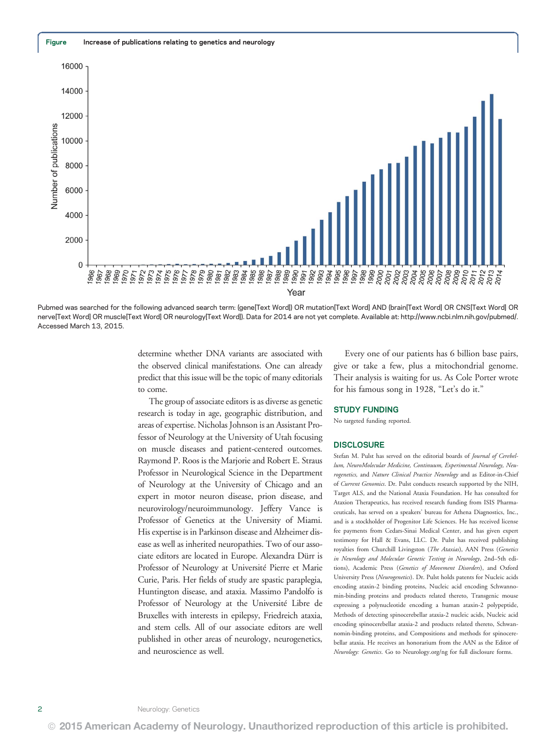Figure Increase of publications relating to genetics and neurology



Pubmed was searched for the following advanced search term: (gene[Text Word]) OR mutation[Text Word] AND (brain[Text Word] OR CNS[Text Word] OR nerve[Text Word] OR muscle[Text Word] OR neurology[Text Word]). Data for 2014 are not yet complete. Available at: [http://www.ncbi.nlm.nih.gov/pubmed/.](http://www.ncbi.nlm.nih.gov/pubmed/) Accessed March 13, 2015.

determine whether DNA variants are associated with the observed clinical manifestations. One can already predict that this issue will be the topic of many editorials to come.

The group of associate editors is as diverse as genetic research is today in age, geographic distribution, and areas of expertise. Nicholas Johnson is an Assistant Professor of Neurology at the University of Utah focusing on muscle diseases and patient-centered outcomes. Raymond P. Roos is the Marjorie and Robert E. Straus Professor in Neurological Science in the Department of Neurology at the University of Chicago and an expert in motor neuron disease, prion disease, and neurovirology/neuroimmunology. Jeffery Vance is Professor of Genetics at the University of Miami. His expertise is in Parkinson disease and Alzheimer disease as well as inherited neuropathies. Two of our associate editors are located in Europe. Alexandra Dürr is Professor of Neurology at Université Pierre et Marie Curie, Paris. Her fields of study are spastic paraplegia, Huntington disease, and ataxia. Massimo Pandolfo is Professor of Neurology at the Université Libre de Bruxelles with interests in epilepsy, Friedreich ataxia, and stem cells. All of our associate editors are well published in other areas of neurology, neurogenetics, and neuroscience as well.

Every one of our patients has 6 billion base pairs, give or take a few, plus a mitochondrial genome. Their analysis is waiting for us. As Cole Porter wrote for his famous song in 1928, "Let's do it."

## STUDY FUNDING

No targeted funding reported.

## **DISCLOSURE**

Stefan M. Pulst has served on the editorial boards of Journal of Cerebellum, NeuroMolecular Medicine, Continuum, Experimental Neurology, Neurogenetics, and Nature Clinical Practice Neurology and as Editor-in-Chief of Current Genomics. Dr. Pulst conducts research supported by the NIH, Target ALS, and the National Ataxia Foundation. He has consulted for Ataxion Therapeutics, has received research funding from ISIS Pharmaceuticals, has served on a speakers' bureau for Athena Diagnostics, Inc., and is a stockholder of Progenitor Life Sciences. He has received license fee payments from Cedars-Sinai Medical Center, and has given expert testimony for Hall & Evans, LLC. Dr. Pulst has received publishing royalties from Churchill Livingston (The Ataxias), AAN Press (Genetics in Neurology and Molecular Genetic Testing in Neurology, 2nd–5th editions), Academic Press (Genetics of Movement Disorders), and Oxford University Press (Neurogenetics). Dr. Pulst holds patents for Nucleic acids encoding ataxin-2 binding proteins, Nucleic acid encoding Schwannomin-binding proteins and products related thereto, Transgenic mouse expressing a polynucleotide encoding a human ataxin-2 polypeptide, Methods of detecting spinocerebellar ataxia-2 nucleic acids, Nucleic acid encoding spinocerebellar ataxia-2 and products related thereto, Schwannomin-binding proteins, and Compositions and methods for spinocerebellar ataxia. He receives an honorarium from the AAN as the Editor of Neurology: Genetics. Go to [Neurology.org/ng](http://nn.neurology.org/lookup/doi/10.1212/01.NXG.0000464293.80983.72) for full disclosure forms.